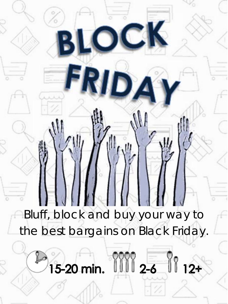Bluff, block and buy your way to the best bargains on Black Friday.

**BLOCK** 

**FRIDA** 

15-20 min. 1111 2-6 11 12+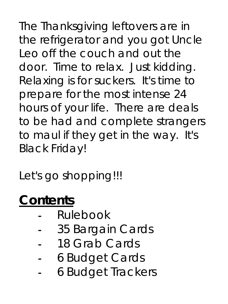The Thanksgiving leftovers are in the refrigerator and you got Uncle Leo off the couch and out the door. Time to relax. Just kidding. Relaxing is for suckers. It's time to prepare for the most intense 24 hours of your life. There are deals to be had and complete strangers to maul if they get in the way. It's Black Friday!

Let's go shopping!!!

# **Contents**

- Rulebook
- 35 Bargain Cards
- 18 Grab Cards
- 6 Budget Cards
- 6 Budget Trackers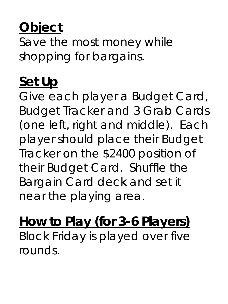## **Object**

Save the most money while shopping for bargains.

#### **Set Up**

Give each player a Budget Card, Budget Tracker and 3 Grab Cards (one left, right and middle). Each player should place their Budget Tracker on the \$2400 position of their Budget Card. Shuffle the Bargain Card deck and set it near the playing area.

## **How to Play (for 3-6 Players)**

Block Friday is played over five rounds.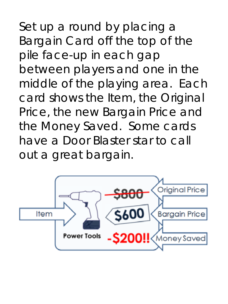Set up a round by placing a Bargain Card off the top of the pile face-up in each gap between players and one in the middle of the playing area. Each card shows the Item, the Original Price, the new Bargain Price and the Money Saved. Some cards have a Door Blaster star to call out a great bargain.

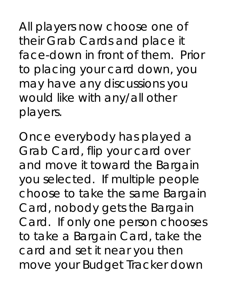All players now choose one of their Grab Cards and place it face-down in front of them. Prior to placing your card down, you may have any discussions you would like with any/all other players.

Once everybody has played a Grab Card, flip your card over and move it toward the Bargain you selected. If multiple people choose to take the same Bargain Card, nobody gets the Bargain Card. If only one person chooses to take a Bargain Card, take the card and set it near you then move your Budget Tracker down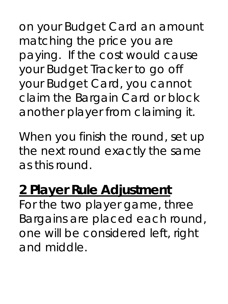on your Budget Card an amount matching the price you are paying. If the cost would cause your Budget Tracker to go off your Budget Card, you cannot claim the Bargain Card or block another player from claiming it.

When you finish the round, set up the next round exactly the same as this round.

## **2 Player Rule Adjustment**

For the two player game, three Bargains are placed each round, one will be considered left, right and middle.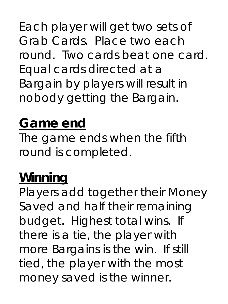Each player will get two sets of Grab Cards. Place two each round. Two cards beat one card. Equal cards directed at a Bargain by players will result in nobody getting the Bargain.

#### **Game end**

The game ends when the fifth round is completed.

#### **Winning**

Players add together their Money Saved and half their remaining budget. Highest total wins. If there is a tie, the player with more Bargains is the win. If still tied, the player with the most money saved is the winner.